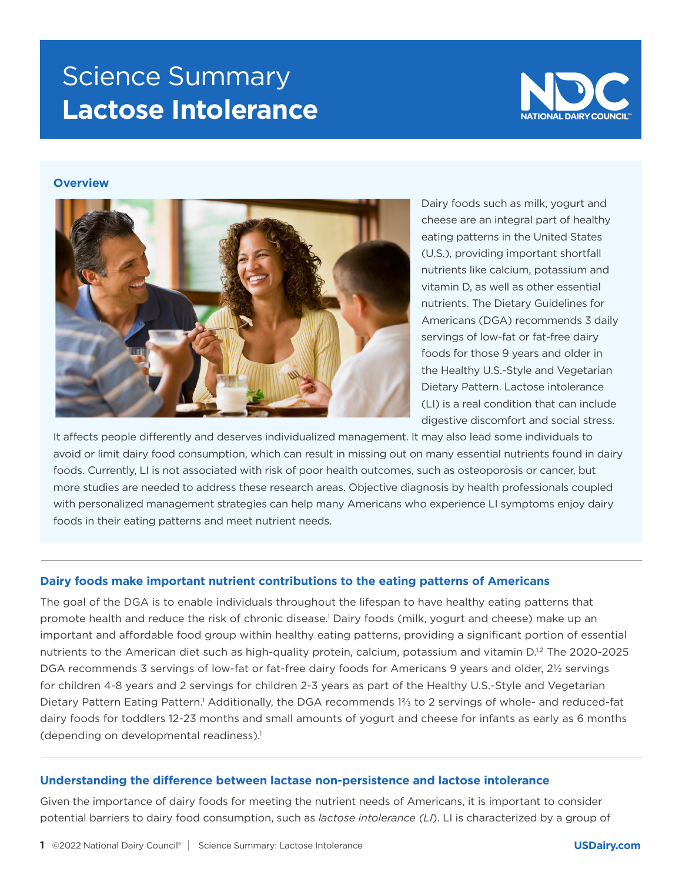# Science Summary **Lactose Intolerance**



# **Overview**



Dairy foods such as milk, yogurt and cheese are an integral part of healthy eating patterns in the United States (U.S.), providing important shortfall nutrients like calcium, potassium and vitamin D, as well as other essential nutrients. The Dietary Guidelines for Americans (DGA) recommends 3 daily servings of low-fat or fat-free dairy foods for those 9 years and older in the Healthy U.S.-Style and Vegetarian Dietary Pattern. Lactose intolerance (LI) is a real condition that can include digestive discomfort and social stress.

It affects people differently and deserves individualized management. It may also lead some individuals to avoid or limit dairy food consumption, which can result in missing out on many essential nutrients found in dairy foods. Currently, LI is not associated with risk of poor health outcomes, such as osteoporosis or cancer, but more studies are needed to address these research areas. Objective diagnosis by health professionals coupled with personalized management strategies can help many Americans who experience LI symptoms enjoy dairy foods in their eating patterns and meet nutrient needs.

## **Dairy foods make important nutrient contributions to the eating patterns of Americans**

The goal of the DGA is to enable individuals throughout the lifespan to have healthy eating patterns that promote health and reduce the risk of chronic disease.1 Dairy foods (milk, yogurt and cheese) make up an important and affordable food group within healthy eating patterns, providing a significant portion of essential nutrients to the American diet such as high-quality protein, calcium, potassium and vitamin D.<sup>1,2</sup> The 2020-2025 DGA recommends 3 servings of low-fat or fat-free dairy foods for Americans 9 years and older, 2½ servings for children 4-8 years and 2 servings for children 2-3 years as part of the Healthy U.S.-Style and Vegetarian Dietary Pattern Eating Pattern.<sup>1</sup> Additionally, the DGA recommends 1⅔ to 2 servings of whole- and reduced-fat dairy foods for toddlers 12-23 months and small amounts of yogurt and cheese for infants as early as 6 months (depending on developmental readiness).<sup>1</sup>

## **Understanding the difference between lactase non-persistence and lactose intolerance**

Given the importance of dairy foods for meeting the nutrient needs of Americans, it is important to consider potential barriers to dairy food consumption, such as *lactose intolerance (LI*). LI is characterized by a group of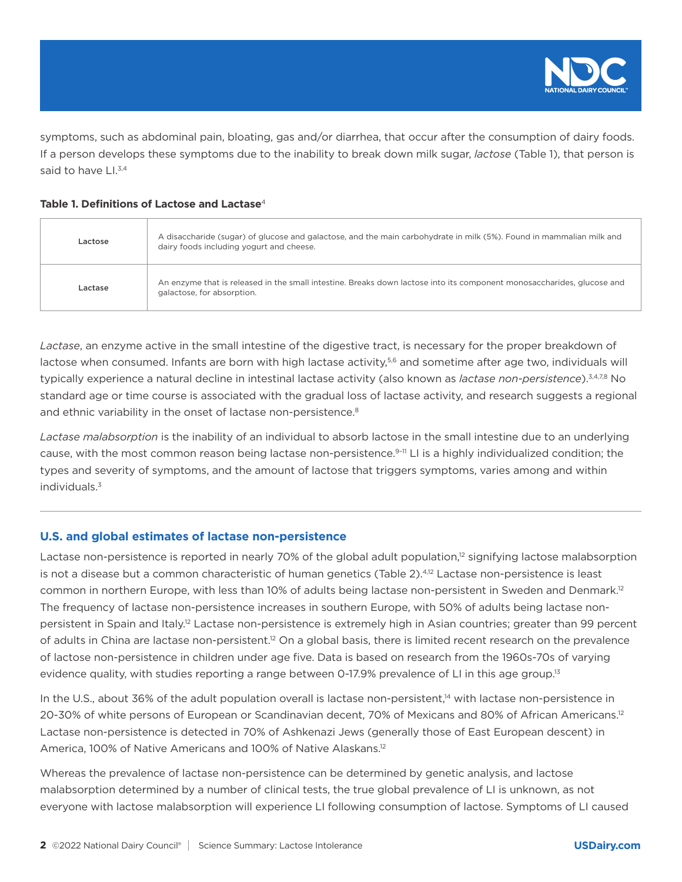

symptoms, such as abdominal pain, bloating, gas and/or diarrhea, that occur after the consumption of dairy foods. If a person develops these symptoms due to the inability to break down milk sugar, *lactose* (Table 1), that person is said to have Ll.<sup>3,4</sup>

## **Table 1. Definitions of Lactose and Lactase**4

| Lactose | A disaccharide (sugar) of glucose and galactose, and the main carbohydrate in milk (5%). Found in mammalian milk and<br>dairy foods including yogurt and cheese. |
|---------|------------------------------------------------------------------------------------------------------------------------------------------------------------------|
| Lactase | An enzyme that is released in the small intestine. Breaks down lactose into its component monosaccharides, glucose and<br>galactose, for absorption.             |

*Lactase*, an enzyme active in the small intestine of the digestive tract, is necessary for the proper breakdown of lactose when consumed. Infants are born with high lactase activity,<sup>5,6</sup> and sometime after age two, individuals will typically experience a natural decline in intestinal lactase activity (also known as *lactase non-persistence*).3,4,7,8 No standard age or time course is associated with the gradual loss of lactase activity, and research suggests a regional and ethnic variability in the onset of lactase non-persistence.<sup>8</sup>

*Lactase malabsorption* is the inability of an individual to absorb lactose in the small intestine due to an underlying cause, with the most common reason being lactase non-persistence.<sup>9-11</sup> LI is a highly individualized condition; the types and severity of symptoms, and the amount of lactose that triggers symptoms, varies among and within individuals.3

# **U.S. and global estimates of lactase non-persistence**

Lactase non-persistence is reported in nearly 70% of the global adult population,<sup>12</sup> signifying lactose malabsorption is not a disease but a common characteristic of human genetics (Table 2).4,12 Lactase non-persistence is least common in northern Europe, with less than 10% of adults being lactase non-persistent in Sweden and Denmark.12 The frequency of lactase non-persistence increases in southern Europe, with 50% of adults being lactase nonpersistent in Spain and Italy.<sup>12</sup> Lactase non-persistence is extremely high in Asian countries; greater than 99 percent of adults in China are lactase non-persistent.<sup>12</sup> On a global basis, there is limited recent research on the prevalence of lactose non-persistence in children under age five. Data is based on research from the 1960s-70s of varying evidence quality, with studies reporting a range between 0-17.9% prevalence of LI in this age group.<sup>13</sup>

In the U.S., about 36% of the adult population overall is lactase non-persistent,<sup>14</sup> with lactase non-persistence in 20-30% of white persons of European or Scandinavian decent, 70% of Mexicans and 80% of African Americans.<sup>12</sup> Lactase non-persistence is detected in 70% of Ashkenazi Jews (generally those of East European descent) in America, 100% of Native Americans and 100% of Native Alaskans.<sup>12</sup>

Whereas the prevalence of lactase non-persistence can be determined by genetic analysis, and lactose malabsorption determined by a number of clinical tests, the true global prevalence of LI is unknown, as not everyone with lactose malabsorption will experience LI following consumption of lactose. Symptoms of LI caused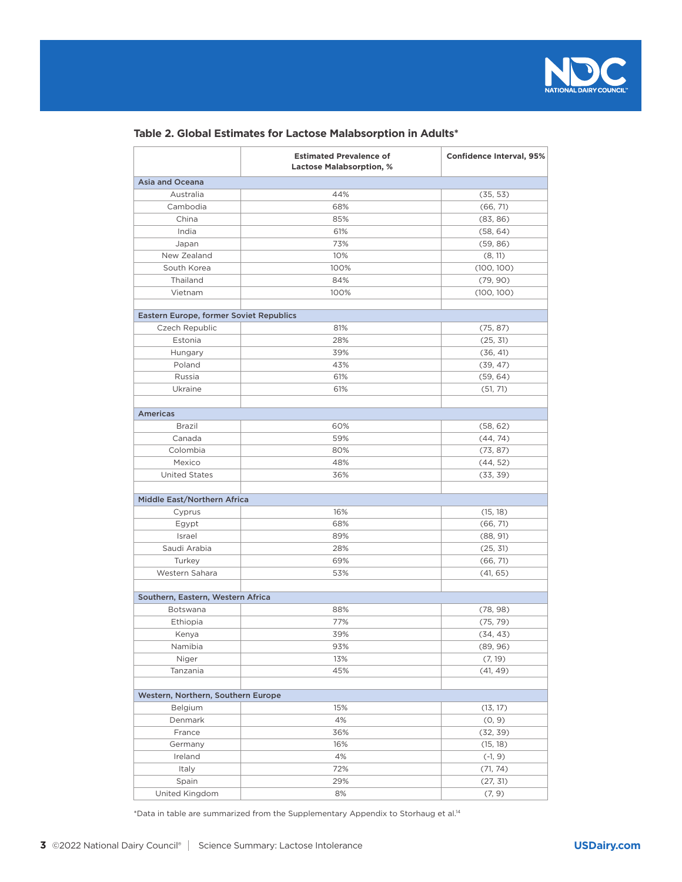

|  |  |  |  |  | Table 2. Global Estimates for Lactose Malabsorption in Adults* |  |  |
|--|--|--|--|--|----------------------------------------------------------------|--|--|
|--|--|--|--|--|----------------------------------------------------------------|--|--|

|                                         | <b>Estimated Prevalence of</b><br><b>Lactose Malabsorption, %</b> | <b>Confidence Interval, 95%</b> |
|-----------------------------------------|-------------------------------------------------------------------|---------------------------------|
| Asia and Oceana                         |                                                                   |                                 |
| Australia                               | 44%                                                               | (35, 53)                        |
| Cambodia                                | 68%                                                               | (66, 71)                        |
| China                                   | 85%                                                               | (83, 86)                        |
| India                                   | 61%                                                               | (58, 64)                        |
| Japan                                   | 73%                                                               | (59, 86)                        |
| New Zealand                             | 10%                                                               | (8, 11)                         |
| South Korea                             | 100%                                                              | (100, 100)                      |
| Thailand                                | 84%                                                               | (79, 90)                        |
| Vietnam                                 | 100%                                                              | (100, 100)                      |
| Eastern Europe, former Soviet Republics |                                                                   |                                 |
| Czech Republic                          | 81%                                                               | (75, 87)                        |
| Estonia                                 | 28%                                                               | (25, 31)                        |
| Hungary                                 | 39%                                                               | (36, 41)                        |
| Poland                                  | 43%                                                               | (39, 47)                        |
| Russia                                  | 61%                                                               | (59, 64)                        |
| Ukraine                                 | 61%                                                               | (51, 71)                        |
|                                         |                                                                   |                                 |
| <b>Americas</b>                         |                                                                   |                                 |
| Brazil                                  | 60%                                                               | (58, 62)                        |
| Canada                                  | 59%                                                               | (44, 74)                        |
| Colombia                                | 80%                                                               | (73, 87)                        |
| Mexico                                  | 48%                                                               | (44, 52)                        |
| <b>United States</b>                    | 36%                                                               | (33, 39)                        |
| Middle East/Northern Africa             |                                                                   |                                 |
| Cyprus                                  | 16%                                                               | (15, 18)                        |
| Egypt                                   | 68%                                                               | (66, 71)                        |
| Israel                                  | 89%                                                               | (88, 91)                        |
| Saudi Arabia                            | 28%                                                               | (25, 31)                        |
| Turkey                                  | 69%                                                               | (66, 71)                        |
| Western Sahara                          | 53%                                                               | (41, 65)                        |
| Southern, Eastern, Western Africa       |                                                                   |                                 |
| Botswana                                | 88%                                                               | (78, 98)                        |
| Ethiopia                                | 77%                                                               | (75, 79)                        |
| Kenya                                   | 39%                                                               | (34, 43)                        |
| Namibia                                 | 93%                                                               | (89, 96)                        |
| Niger                                   | 13%                                                               | (7, 19)                         |
| Tanzania                                | 45%                                                               | (41, 49)                        |
|                                         |                                                                   |                                 |
| Western, Northern, Southern Europe      |                                                                   |                                 |
| Belgium                                 | 15%                                                               | (13, 17)                        |
| Denmark                                 | 4%                                                                | (0, 9)                          |
| France                                  | 36%                                                               | (32, 39)                        |
| Germany                                 | 16%                                                               | (15, 18)                        |
| Ireland                                 | 4%                                                                | $(-1, 9)$                       |
| Italy                                   | 72%                                                               | (71, 74)                        |
| Spain                                   | 29%                                                               | (27, 31)                        |
| United Kingdom                          | 8%                                                                | (7, 9)                          |

 $*$ Data in table are summarized from the Supplementary Appendix to Storhaug et al.<sup>14</sup>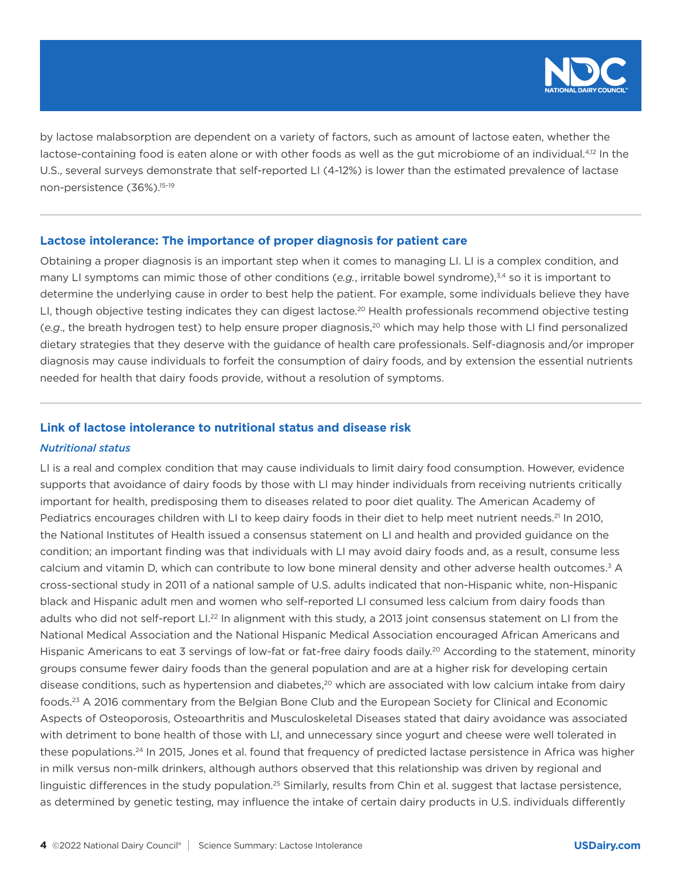

by lactose malabsorption are dependent on a variety of factors, such as amount of lactose eaten, whether the lactose-containing food is eaten alone or with other foods as well as the gut microbiome of an individual.<sup>4,12</sup> In the U.S., several surveys demonstrate that self-reported LI (4-12%) is lower than the estimated prevalence of lactase non-persistence (36%).15–19

#### **Lactose intolerance: The importance of proper diagnosis for patient care**

Obtaining a proper diagnosis is an important step when it comes to managing LI. LI is a complex condition, and many LI symptoms can mimic those of other conditions (*e.g.*, irritable bowel syndrome),<sup>3,4</sup> so it is important to determine the underlying cause in order to best help the patient. For example, some individuals believe they have LI, though objective testing indicates they can digest lactose.<sup>20</sup> Health professionals recommend objective testing (*e.g*., the breath hydrogen test) to help ensure proper diagnosis,20 which may help those with LI find personalized dietary strategies that they deserve with the guidance of health care professionals. Self-diagnosis and/or improper diagnosis may cause individuals to forfeit the consumption of dairy foods, and by extension the essential nutrients needed for health that dairy foods provide, without a resolution of symptoms.

# **Link of lactose intolerance to nutritional status and disease risk**

#### *Nutritional status*

LI is a real and complex condition that may cause individuals to limit dairy food consumption. However, evidence supports that avoidance of dairy foods by those with LI may hinder individuals from receiving nutrients critically important for health, predisposing them to diseases related to poor diet quality. The American Academy of Pediatrics encourages children with LI to keep dairy foods in their diet to help meet nutrient needs.<sup>21</sup> In 2010, the National Institutes of Health issued a consensus statement on LI and health and provided guidance on the condition; an important finding was that individuals with LI may avoid dairy foods and, as a result, consume less calcium and vitamin D, which can contribute to low bone mineral density and other adverse health outcomes.<sup>3</sup> A cross-sectional study in 2011 of a national sample of U.S. adults indicated that non-Hispanic white, non-Hispanic black and Hispanic adult men and women who self-reported LI consumed less calcium from dairy foods than adults who did not self-report LI.<sup>22</sup> In alignment with this study, a 2013 joint consensus statement on LI from the National Medical Association and the National Hispanic Medical Association encouraged African Americans and Hispanic Americans to eat 3 servings of low-fat or fat-free dairy foods daily.<sup>20</sup> According to the statement, minority groups consume fewer dairy foods than the general population and are at a higher risk for developing certain disease conditions, such as hypertension and diabetes,<sup>20</sup> which are associated with low calcium intake from dairy foods.23 A 2016 commentary from the Belgian Bone Club and the European Society for Clinical and Economic Aspects of Osteoporosis, Osteoarthritis and Musculoskeletal Diseases stated that dairy avoidance was associated with detriment to bone health of those with LI, and unnecessary since yogurt and cheese were well tolerated in these populations.24 In 2015, Jones et al. found that frequency of predicted lactase persistence in Africa was higher in milk versus non-milk drinkers, although authors observed that this relationship was driven by regional and linguistic differences in the study population.25 Similarly, results from Chin et al. suggest that lactase persistence, as determined by genetic testing, may influence the intake of certain dairy products in U.S. individuals differently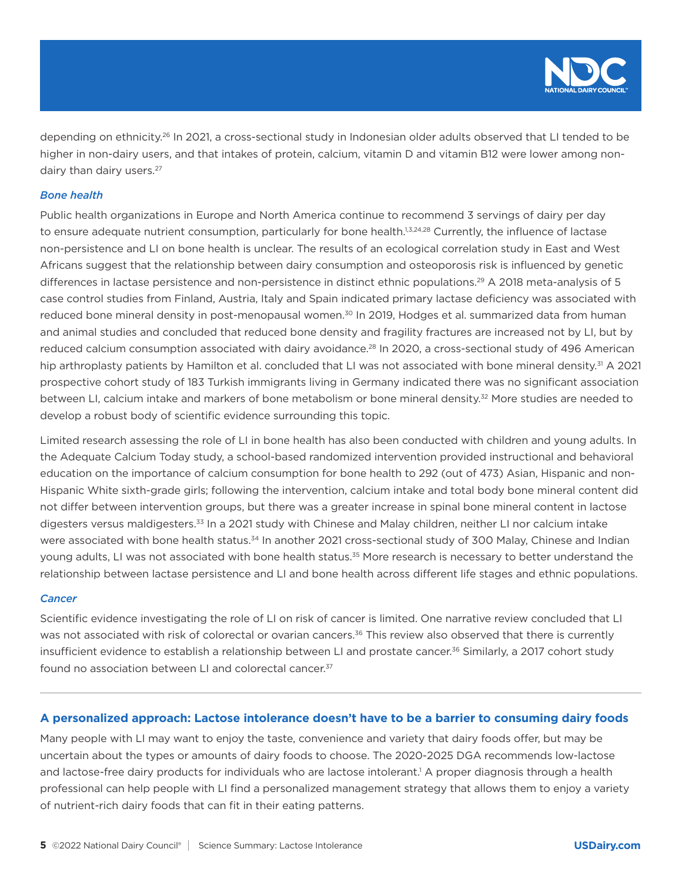

depending on ethnicity.<sup>26</sup> In 2021, a cross-sectional study in Indonesian older adults observed that LI tended to be higher in non-dairy users, and that intakes of protein, calcium, vitamin D and vitamin B12 were lower among nondairy than dairy users.<sup>27</sup>

## *Bone health*

Public health organizations in Europe and North America continue to recommend 3 servings of dairy per day to ensure adequate nutrient consumption, particularly for bone health.<sup>1,3,24,28</sup> Currently, the influence of lactase non-persistence and LI on bone health is unclear. The results of an ecological correlation study in East and West Africans suggest that the relationship between dairy consumption and osteoporosis risk is influenced by genetic differences in lactase persistence and non-persistence in distinct ethnic populations.<sup>29</sup> A 2018 meta-analysis of 5 case control studies from Finland, Austria, Italy and Spain indicated primary lactase deficiency was associated with reduced bone mineral density in post-menopausal women.<sup>30</sup> In 2019, Hodges et al. summarized data from human and animal studies and concluded that reduced bone density and fragility fractures are increased not by LI, but by reduced calcium consumption associated with dairy avoidance.<sup>28</sup> In 2020, a cross-sectional study of 496 American hip arthroplasty patients by Hamilton et al. concluded that LI was not associated with bone mineral density.<sup>31</sup> A 2021 prospective cohort study of 183 Turkish immigrants living in Germany indicated there was no significant association between LI, calcium intake and markers of bone metabolism or bone mineral density.<sup>32</sup> More studies are needed to develop a robust body of scientific evidence surrounding this topic.

Limited research assessing the role of LI in bone health has also been conducted with children and young adults. In the Adequate Calcium Today study, a school-based randomized intervention provided instructional and behavioral education on the importance of calcium consumption for bone health to 292 (out of 473) Asian, Hispanic and non-Hispanic White sixth-grade girls; following the intervention, calcium intake and total body bone mineral content did not differ between intervention groups, but there was a greater increase in spinal bone mineral content in lactose digesters versus maldigesters.<sup>33</sup> In a 2021 study with Chinese and Malay children, neither LI nor calcium intake were associated with bone health status.<sup>34</sup> In another 2021 cross-sectional study of 300 Malay, Chinese and Indian young adults, LI was not associated with bone health status.<sup>35</sup> More research is necessary to better understand the relationship between lactase persistence and LI and bone health across different life stages and ethnic populations.

#### *Cancer*

Scientific evidence investigating the role of LI on risk of cancer is limited. One narrative review concluded that LI was not associated with risk of colorectal or ovarian cancers.<sup>36</sup> This review also observed that there is currently insufficient evidence to establish a relationship between LI and prostate cancer.<sup>36</sup> Similarly, a 2017 cohort study found no association between LI and colorectal cancer.<sup>37</sup>

## **A personalized approach: Lactose intolerance doesn't have to be a barrier to consuming dairy foods**

Many people with LI may want to enjoy the taste, convenience and variety that dairy foods offer, but may be uncertain about the types or amounts of dairy foods to choose. The 2020-2025 DGA recommends low-lactose and lactose-free dairy products for individuals who are lactose intolerant.<sup>1</sup> A proper diagnosis through a health professional can help people with LI find a personalized management strategy that allows them to enjoy a variety of nutrient-rich dairy foods that can fit in their eating patterns.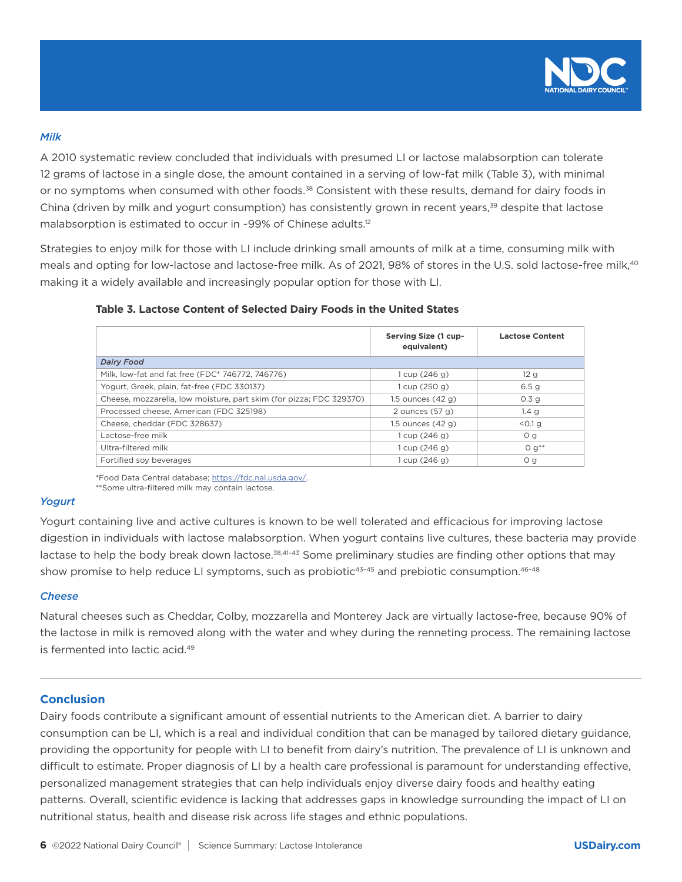

#### *Milk*

A 2010 systematic review concluded that individuals with presumed LI or lactose malabsorption can tolerate 12 grams of lactose in a single dose, the amount contained in a serving of low-fat milk (Table 3), with minimal or no symptoms when consumed with other foods.<sup>38</sup> Consistent with these results, demand for dairy foods in China (driven by milk and yogurt consumption) has consistently grown in recent years,<sup>39</sup> despite that lactose malabsorption is estimated to occur in ~99% of Chinese adults.<sup>12</sup>

Strategies to enjoy milk for those with LI include drinking small amounts of milk at a time, consuming milk with meals and opting for low-lactose and lactose-free milk. As of 2021, 98% of stores in the U.S. sold lactose-free milk,<sup>40</sup> making it a widely available and increasingly popular option for those with LI.

|                                                                     | Serving Size (1 cup-<br>equivalent) | <b>Lactose Content</b> |
|---------------------------------------------------------------------|-------------------------------------|------------------------|
| <b>Dairy Food</b>                                                   |                                     |                        |
| Milk, low-fat and fat free (FDC* 746772, 746776)                    | 1 cup (246 g)                       | 12g                    |
| Yogurt, Greek, plain, fat-free (FDC 330137)                         | 1 cup (250 g)                       | 6.5 <sub>q</sub>       |
| Cheese, mozzarella, low moisture, part skim (for pizza; FDC 329370) | $1.5$ ounces $(42 g)$               | 0.3 <sub>q</sub>       |
| Processed cheese, American (FDC 325198)                             | 2 ounces $(57 g)$                   | 1.4 <sub>q</sub>       |
| Cheese, cheddar (FDC 328637)                                        | 1.5 ounces $(42 g)$                 | $< 0.1$ g              |
| Lactose-free milk                                                   | 1 cup (246 g)                       | O <sub>g</sub>         |
| Ultra-filtered milk                                                 | 1 cup (246 g)                       | $0 q^{**}$             |

Fortified soy beverages and the south of the state of the state of the state of the state of the state of the state of the state of the state of the state of the state of the state of the state of the state of the state of

## **Table 3. Lactose Content of Selected Dairy Foods in the United States**

\*Food Data Central database; https://fdc.nal.usda.gov/.

\*\*Some ultra-filtered milk may contain lactose.

## *Yogurt*

Yogurt containing live and active cultures is known to be well tolerated and efficacious for improving lactose digestion in individuals with lactose malabsorption. When yogurt contains live cultures, these bacteria may provide lactase to help the body break down lactose.<sup>38,41-43</sup> Some preliminary studies are finding other options that may show promise to help reduce LI symptoms, such as probiotic<sup>43-45</sup> and prebiotic consumption.<sup>46-48</sup>

#### *Cheese*

Natural cheeses such as Cheddar, Colby, mozzarella and Monterey Jack are virtually lactose-free, because 90% of the lactose in milk is removed along with the water and whey during the renneting process. The remaining lactose is fermented into lactic acid.49

## **Conclusion**

Dairy foods contribute a significant amount of essential nutrients to the American diet. A barrier to dairy consumption can be LI, which is a real and individual condition that can be managed by tailored dietary guidance, providing the opportunity for people with LI to benefit from dairy's nutrition. The prevalence of LI is unknown and difficult to estimate. Proper diagnosis of LI by a health care professional is paramount for understanding effective, personalized management strategies that can help individuals enjoy diverse dairy foods and healthy eating patterns. Overall, scientific evidence is lacking that addresses gaps in knowledge surrounding the impact of LI on nutritional status, health and disease risk across life stages and ethnic populations.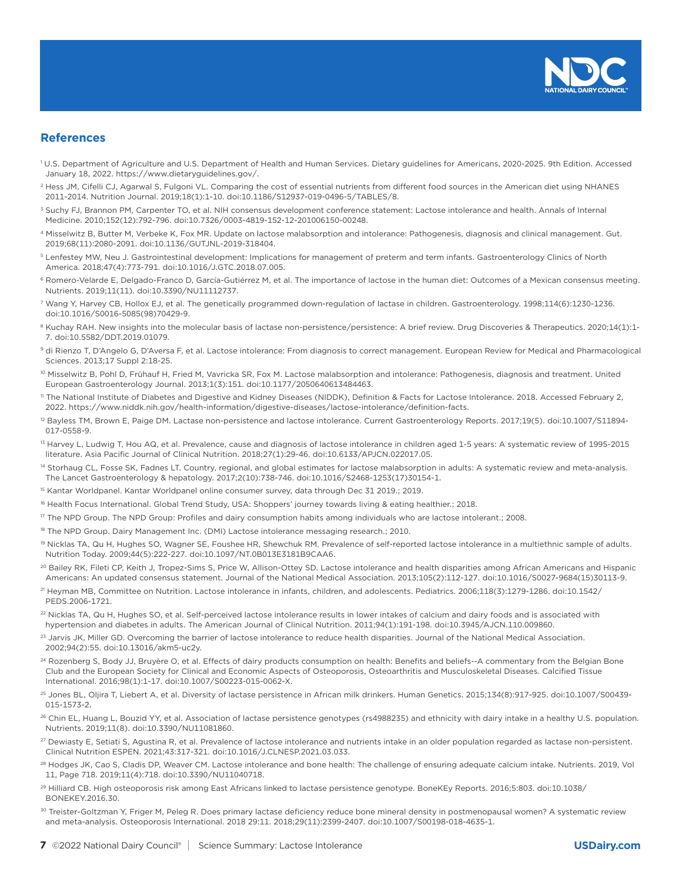

## **References**

- 1 U.S. Department of Agriculture and U.S. Department of Health and Human Services. Dietary guidelines for Americans, 2020-2025. 9th Edition. Accessed January 18, 2022. https://www.dietaryguidelines.gov/.
- <sup>2</sup> Hess JM, Cifelli CJ, Agarwal S, Fulgoni VL. Comparing the cost of essential nutrients from different food sources in the American diet using NHANES 2011-2014. Nutrition Journal. 2019;18(1):1-10. doi:10.1186/S12937-019-0496-5/TABLES/8.
- <sup>3</sup> Suchy FJ, Brannon PM, Carpenter TO, et al. NIH consensus development conference statement: Lactose intolerance and health. Annals of Internal Medicine. 2010;152(12):792-796. doi:10.7326/0003-4819-152-12-201006150-00248.
- 4 Misselwitz B, Butter M, Verbeke K, Fox MR. Update on lactose malabsorption and intolerance: Pathogenesis, diagnosis and clinical management. Gut. 2019;68(11):2080-2091. doi:10.1136/GUTJNL-2019-318404.
- <sup>5</sup> Lenfestey MW, Neu J. Gastrointestinal development: Implications for management of preterm and term infants. Gastroenterology Clinics of North America. 2018;47(4):773-791. doi:10.1016/J.GTC.2018.07.005.
- <sup>6</sup> Romero-Velarde E, Delgado-Franco D, García-Gutiérrez M, et al. The importance of lactose in the human diet: Outcomes of a Mexican consensus meeting. Nutrients. 2019;11(11). doi:10.3390/NU11112737.
- 7 Wang Y, Harvey CB, Hollox EJ, et al. The genetically programmed down-regulation of lactase in children. Gastroenterology. 1998;114(6):1230-1236. doi:10.1016/S0016-5085(98)70429-9.
- <sup>8</sup> Kuchay RAH. New insights into the molecular basis of lactase non-persistence/persistence: A brief review. Drug Discoveries & Therapeutics. 2020;14(1):1-7. doi:10.5582/DDT.2019.01079.
- 9 di Rienzo T, D'Angelo G, D'Aversa F, et al. Lactose intolerance: From diagnosis to correct management. European Review for Medical and Pharmacological Sciences. 2013;17 Suppl 2:18-25.
- <sup>10</sup> Misselwitz B, Pohl D, Frühauf H, Fried M, Vavricka SR, Fox M. Lactose malabsorption and intolerance: Pathogenesis, diagnosis and treatment. United European Gastroenterology Journal. 2013;1(3):151. doi:10.1177/2050640613484463.
- 11 The National Institute of Diabetes and Digestive and Kidney Diseases (NIDDK), Definition & Facts for Lactose Intolerance. 2018. Accessed February 2, 2022. https://www.niddk.nih.gov/health-information/digestive-diseases/lactose-intolerance/definition-facts.
- <sup>12</sup> Bayless TM, Brown E, Paige DM. Lactase non-persistence and lactose intolerance. Current Gastroenterology Reports. 2017;19(5). doi:10.1007/S11894-017-0558-9.
- <sup>13</sup> Harvey L, Ludwig T, Hou AQ, et al. Prevalence, cause and diagnosis of lactose intolerance in children aged 1-5 years: A systematic review of 1995-2015 literature. Asia Pacific Journal of Clinical Nutrition. 2018;27(1):29-46. doi:10.6133/APJCN.022017.05.
- <sup>14</sup> Storhaug CL, Fosse SK, Fadnes LT. Country, regional, and global estimates for lactose malabsorption in adults: A systematic review and meta-analysis. The Lancet Gastroenterology & hepatology. 2017;2(10):738-746. doi:10.1016/S2468-1253(17)30154-1.
- <sup>15</sup> Kantar Worldpanel. Kantar Worldpanel online consumer survey, data through Dec 31 2019.; 2019.
- <sup>16</sup> Health Focus International. Global Trend Study, USA: Shoppers' journey towards living & eating healthier.; 2018.
- <sup>17</sup> The NPD Group. The NPD Group: Profiles and dairy consumption habits among individuals who are lactose intolerant.; 2008.
- <sup>18</sup> The NPD Group. Dairy Management Inc. (DMI) Lactose intolerance messaging research.; 2010.
- <sup>19</sup> Nicklas TA, Qu H, Hughes SO, Wagner SE, Foushee HR, Shewchuk RM. Prevalence of self-reported lactose intolerance in a multiethnic sample of adults. Nutrition Today. 2009;44(5):222-227. doi:10.1097/NT.0B013E3181B9CAA6.
- <sup>20</sup> Bailey RK, Fileti CP, Keith J, Tropez-Sims S, Price W, Allison-Ottey SD. Lactose intolerance and health disparities among African Americans and Hispanic Americans: An updated consensus statement. Journal of the National Medical Association. 2013;105(2):112-127. doi:10.1016/S0027-9684(15)30113-9.
- <sup>21</sup> Heyman MB, Committee on Nutrition. Lactose intolerance in infants, children, and adolescents. Pediatrics. 2006;118(3):1279-1286. doi:10.1542/ PEDS.2006-1721.
- <sup>22</sup> Nicklas TA, Qu H, Hughes SO, et al. Self-perceived lactose intolerance results in lower intakes of calcium and dairy foods and is associated with hypertension and diabetes in adults. The American Journal of Clinical Nutrition. 2011;94(1):191-198. doi:10.3945/AJCN.110.009860.
- <sup>23</sup> Jarvis JK, Miller GD. Overcoming the barrier of lactose intolerance to reduce health disparities. Journal of the National Medical Association. 2002;94(2):55. doi:10.13016/akm5-uc2y.
- <sup>24</sup> Rozenberg S, Body JJ, Bruyère O, et al. Effects of dairy products consumption on health: Benefits and beliefs--A commentary from the Belgian Bone Club and the European Society for Clinical and Economic Aspects of Osteoporosis, Osteoarthritis and Musculoskeletal Diseases. Calcified Tissue International. 2016;98(1):1-17. doi:10.1007/S00223-015-0062-X.
- 25 Jones BL, Oljira T, Liebert A, et al. Diversity of lactase persistence in African milk drinkers. Human Genetics. 2015;134(8):917-925. doi:10.1007/S00439- 015-1573-2.
- <sup>26</sup> Chin EL, Huang L, Bouzid YY, et al. Association of lactase persistence genotypes (rs4988235) and ethnicity with dairy intake in a healthy U.S. population. Nutrients. 2019;11(8). doi:10.3390/NU11081860.
- $^{27}$  Dewiasty E, Setiati S, Agustina R, et al. Prevalence of lactose intolerance and nutrients intake in an older population regarded as lactase non-persistent. Clinical Nutrition ESPEN. 2021;43:317-321. doi:10.1016/J.CLNESP.2021.03.033.
- <sup>28</sup> Hodges JK, Cao S, Cladis DP, Weaver CM. Lactose intolerance and bone health: The challenge of ensuring adequate calcium intake. Nutrients. 2019, Vol 11, Page 718. 2019;11(4):718. doi:10.3390/NU11040718.
- 29 Hilliard CB. High osteoporosis risk among East Africans linked to lactase persistence genotype. BoneKEy Reports. 2016;5:803. doi:10.1038/ BONEKEY.2016.30.
- <sup>30</sup> Treister-Goltzman Y, Friger M, Peleg R. Does primary lactase deficiency reduce bone mineral density in postmenopausal women? A systematic review and meta-analysis. Osteoporosis International. 2018 29:11. 2018;29(11):2399-2407. doi:10.1007/S00198-018-4635-1.